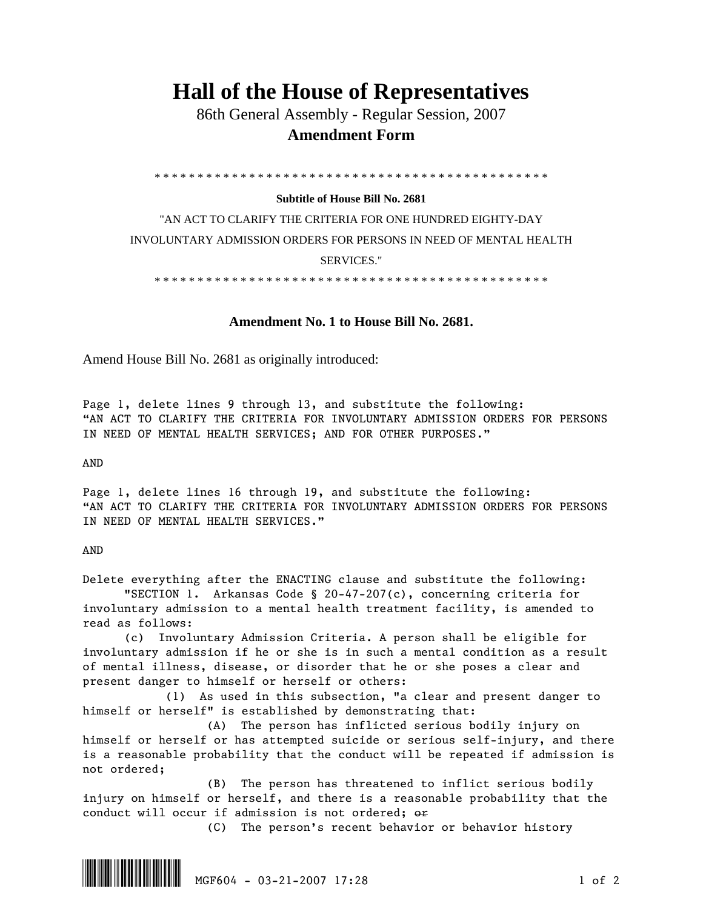## **Hall of the House of Representatives**

 86th General Assembly - Regular Session, 2007  **Amendment Form** 

\* \* \* \* \* \* \* \* \* \* \* \* \* \* \* \* \* \* \* \* \* \* \* \* \* \* \* \* \* \* \* \* \* \* \* \* \* \* \* \* \* \* \* \* \* \*

## **Subtitle of House Bill No. 2681**

"AN ACT TO CLARIFY THE CRITERIA FOR ONE HUNDRED EIGHTY-DAY INVOLUNTARY ADMISSION ORDERS FOR PERSONS IN NEED OF MENTAL HEALTH SERVICES."

\* \* \* \* \* \* \* \* \* \* \* \* \* \* \* \* \* \* \* \* \* \* \* \* \* \* \* \* \* \* \* \* \* \* \* \* \* \* \* \* \* \* \* \* \* \*

## **Amendment No. 1 to House Bill No. 2681.**

Amend House Bill No. 2681 as originally introduced:

Page 1, delete lines 9 through 13, and substitute the following: "AN ACT TO CLARIFY THE CRITERIA FOR INVOLUNTARY ADMISSION ORDERS FOR PERSONS IN NEED OF MENTAL HEALTH SERVICES; AND FOR OTHER PURPOSES."

AND

Page 1, delete lines 16 through 19, and substitute the following: "AN ACT TO CLARIFY THE CRITERIA FOR INVOLUNTARY ADMISSION ORDERS FOR PERSONS IN NEED OF MENTAL HEALTH SERVICES."

## AND

Delete everything after the ENACTING clause and substitute the following:

 "SECTION 1. Arkansas Code § 20-47-207(c), concerning criteria for involuntary admission to a mental health treatment facility, is amended to read as follows:

 (c) Involuntary Admission Criteria. A person shall be eligible for involuntary admission if he or she is in such a mental condition as a result of mental illness, disease, or disorder that he or she poses a clear and present danger to himself or herself or others:

 (1) As used in this subsection, "a clear and present danger to himself or herself" is established by demonstrating that:

 (A) The person has inflicted serious bodily injury on himself or herself or has attempted suicide or serious self-injury, and there is a reasonable probability that the conduct will be repeated if admission is not ordered;

 (B) The person has threatened to inflict serious bodily injury on himself or herself, and there is a reasonable probability that the conduct will occur if admission is not ordered; or

(C) The person's recent behavior or behavior history